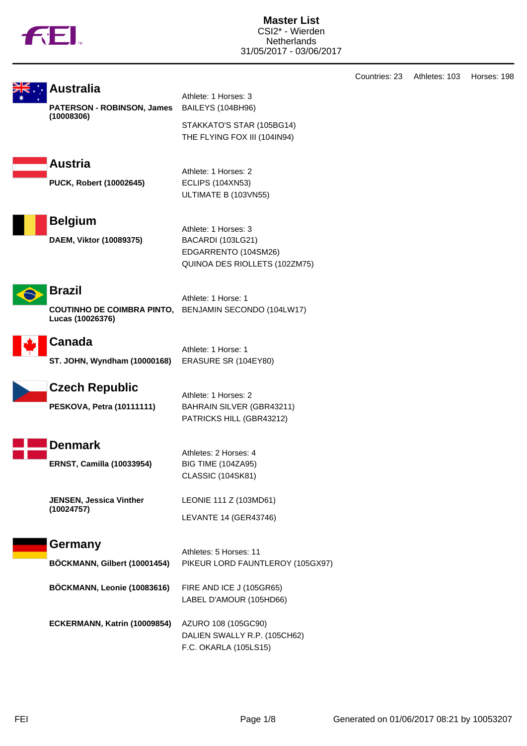

| <b>Australia</b><br><b>PATERSON - ROBINSON, James</b><br>(10008306)<br><b>Austria</b><br>PUCK, Robert (10002645) | Athlete: 1 Horses: 3<br>BAILEYS (104BH96)<br>STAKKATO'S STAR (105BG14)<br>THE FLYING FOX III (104IN94)<br>Athlete: 1 Horses: 2<br><b>ECLIPS (104XN53)</b><br>ULTIMATE B (103VN55) |
|------------------------------------------------------------------------------------------------------------------|-----------------------------------------------------------------------------------------------------------------------------------------------------------------------------------|
| <b>Belgium</b><br>DAEM, Viktor (10089375)                                                                        | Athlete: 1 Horses: 3<br>BACARDI (103LG21)<br>EDGARRENTO (104SM26)<br>QUINOA DES RIOLLETS (102ZM75)                                                                                |
| <b>Brazil</b><br>Lucas (10026376)                                                                                | Athlete: 1 Horse: 1<br>COUTINHO DE COIMBRA PINTO, BENJAMIN SECONDO (104LW17)                                                                                                      |
| Canada<br>ST. JOHN, Wyndham (10000168)                                                                           | Athlete: 1 Horse: 1<br>ERASURE SR (104EY80)                                                                                                                                       |
| <b>Czech Republic</b><br><b>PESKOVA, Petra (10111111)</b>                                                        | Athlete: 1 Horses: 2<br>BAHRAIN SILVER (GBR43211)<br>PATRICKS HILL (GBR43212)                                                                                                     |
| <b>Denmark</b><br><b>ERNST, Camilla (10033954)</b>                                                               | Athletes: 2 Horses: 4<br><b>BIG TIME (104ZA95)</b><br>CLASSIC (104SK81)                                                                                                           |
| JENSEN, Jessica Vinther<br>(10024757)                                                                            | LEONIE 111 Z (103MD61)<br>LEVANTE 14 (GER43746)                                                                                                                                   |
| <b>Germany</b><br>BÖCKMANN, Gilbert (10001454)                                                                   | Athletes: 5 Horses: 11<br>PIKEUR LORD FAUNTLEROY (105GX97)                                                                                                                        |
| BÖCKMANN, Leonie (10083616)                                                                                      | FIRE AND ICE J (105GR65)<br>LABEL D'AMOUR (105HD66)                                                                                                                               |
| ECKERMANN, Katrin (10009854)                                                                                     | AZURO 108 (105GC90)<br>DALIEN SWALLY R.P. (105CH62)<br>F.C. OKARLA (105LS15)                                                                                                      |

Countries: 23 Athletes: 103 Horses: 198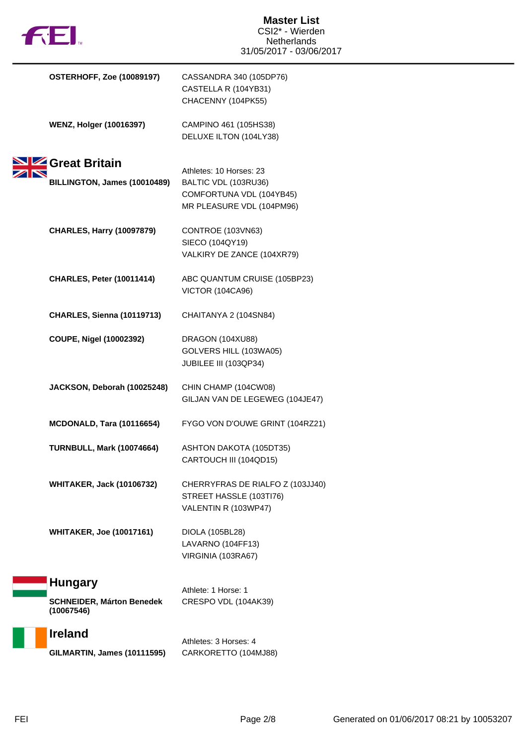

| <b>OSTERHOFF, Zoe (10089197)</b>               | CASSANDRA 340 (105DP76)<br>CASTELLA R (104YB31)<br>CHACENNY (104PK55)                           |
|------------------------------------------------|-------------------------------------------------------------------------------------------------|
| <b>WENZ, Holger (10016397)</b>                 | CAMPINO 461 (105HS38)<br>DELUXE ILTON (104LY38)                                                 |
| Great Britain<br>BILLINGTON, James (10010489)  | Athletes: 10 Horses: 23<br>BALTIC VDL (103RU36)<br>COMFORTUNA VDL (104YB45)                     |
| <b>CHARLES, Harry (10097879)</b>               | MR PLEASURE VDL (104PM96)<br>CONTROE (103VN63)<br>SIECO (104QY19)<br>VALKIRY DE ZANCE (104XR79) |
| <b>CHARLES, Peter (10011414)</b>               | ABC QUANTUM CRUISE (105BP23)<br><b>VICTOR (104CA96)</b>                                         |
| <b>CHARLES, Sienna (10119713)</b>              | CHAITANYA 2 (104SN84)                                                                           |
| COUPE, Nigel (10002392)                        | DRAGON (104XU88)<br>GOLVERS HILL (103WA05)<br>JUBILEE III (103QP34)                             |
| JACKSON, Deborah (10025248)                    | CHIN CHAMP (104CW08)<br>GILJAN VAN DE LEGEWEG (104JE47)                                         |
| MCDONALD, Tara (10116654)                      | FYGO VON D'OUWE GRINT (104RZ21)                                                                 |
| <b>TURNBULL, Mark (10074664)</b>               | ASHTON DAKOTA (105DT35)<br>CARTOUCH III (104QD15)                                               |
| <b>WHITAKER, Jack (10106732)</b>               | CHERRYFRAS DE RIALFO Z (103JJ40)<br>STREET HASSLE (103TI76)<br>VALENTIN R (103WP47)             |
| <b>WHITAKER, Joe (10017161)</b>                | DIOLA (105BL28)<br>LAVARNO (104FF13)<br>VIRGINIA (103RA67)                                      |
| <b>Hungary</b>                                 | Athlete: 1 Horse: 1                                                                             |
| <b>SCHNEIDER, Márton Benedek</b><br>(10067546) | CRESPO VDL (104AK39)                                                                            |
| <b>Ireland</b>                                 |                                                                                                 |

**GILMARTIN, James (10111595)** CARKORETTO (104MJ88)

Athletes: 3 Horses: 4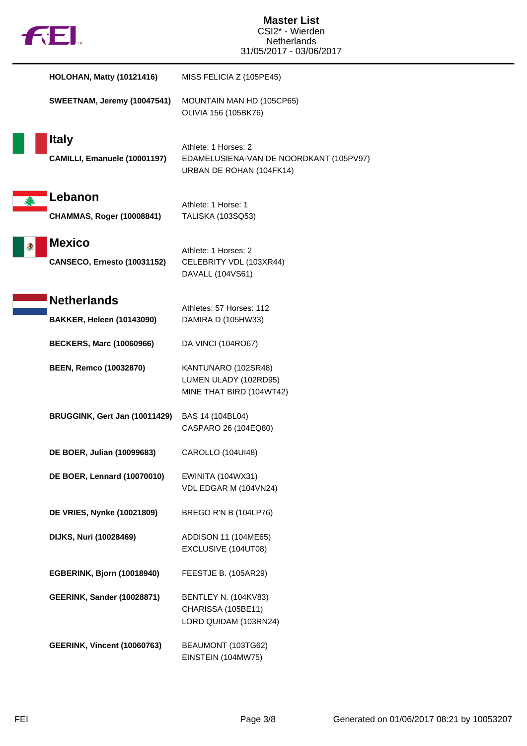|  | M |
|--|---|
|  |   |

| <b>HOLOHAN, Matty (10121416)</b>                       | MISS FELICIA Z (105PE45)                                                                    |
|--------------------------------------------------------|---------------------------------------------------------------------------------------------|
| SWEETNAM, Jeremy (10047541)                            | MOUNTAIN MAN HD (105CP65)<br>OLIVIA 156 (105BK76)                                           |
| <b>Italy</b><br>CAMILLI, Emanuele (10001197)           | Athlete: 1 Horses: 2<br>EDAMELUSIENA-VAN DE NOORDKANT (105PV97)<br>URBAN DE ROHAN (104FK14) |
| Lebanon<br><b>CHAMMAS, Roger (10008841)</b>            | Athlete: 1 Horse: 1<br>TALISKA (103SQ53)                                                    |
| <b>Mexico</b><br><b>CANSECO, Ernesto (10031152)</b>    | Athlete: 1 Horses: 2<br>CELEBRITY VDL (103XR44)<br>DAVALL (104VS61)                         |
| <b>Netherlands</b><br><b>BAKKER, Heleen (10143090)</b> | Athletes: 57 Horses: 112<br>DAMIRA D (105HW33)                                              |
| <b>BECKERS, Marc (10060966)</b>                        | DA VINCI (104RO67)                                                                          |
| <b>BEEN, Remco (10032870)</b>                          | KANTUNARO (102SR48)<br>LUMEN ULADY (102RD95)<br>MINE THAT BIRD (104WT42)                    |
| BRUGGINK, Gert Jan (10011429)                          | BAS 14 (104BL04)<br>CASPARO 26 (104EQ80)                                                    |
| DE BOER, Julian (10099683)                             | CAROLLO (104UI48)                                                                           |
| <b>DE BOER, Lennard (10070010)</b>                     | <b>EWINITA (104WX31)</b><br>VDL EDGAR M (104VN24)                                           |
| DE VRIES, Nynke (10021809)                             | BREGO R'N B (104LP76)                                                                       |
| <b>DIJKS, Nuri (10028469)</b>                          | ADDISON 11 (104ME65)<br>EXCLUSIVE (104UT08)                                                 |
| EGBERINK, Bjorn (10018940)                             | FEESTJE B. (105AR29)                                                                        |
| <b>GEERINK, Sander (10028871)</b>                      | <b>BENTLEY N. (104KV83)</b><br>CHARISSA (105BE11)<br>LORD QUIDAM (103RN24)                  |
| <b>GEERINK, Vincent (10060763)</b>                     | BEAUMONT (103TG62)<br>EINSTEIN (104MW75)                                                    |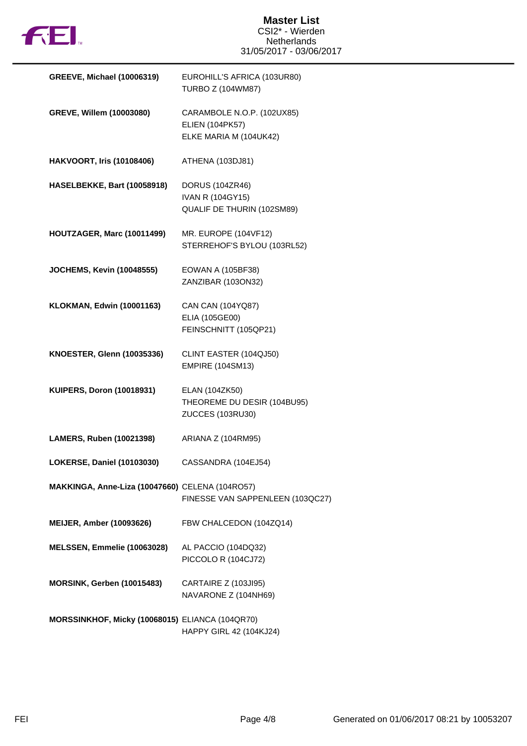

#### **Master List** CSI2\* - Wierden Netherlands 31/05/2017 - 03/06/2017

| <b>GREEVE, Michael (10006319)</b>               | EUROHILL'S AFRICA (103UR80)<br><b>TURBO Z (104WM87)</b>                        |
|-------------------------------------------------|--------------------------------------------------------------------------------|
| GREVE, Willem (10003080)                        | CARAMBOLE N.O.P. (102UX85)<br><b>ELIEN (104PK57)</b><br>ELKE MARIA M (104UK42) |
| <b>HAKVOORT, Iris (10108406)</b>                | ATHENA (103DJ81)                                                               |
| HASELBEKKE, Bart (10058918)                     | DORUS (104ZR46)<br><b>IVAN R (104GY15)</b><br>QUALIF DE THURIN (102SM89)       |
| HOUTZAGER, Marc (10011499)                      | MR. EUROPE (104VF12)<br>STERREHOF'S BYLOU (103RL52)                            |
| <b>JOCHEMS, Kevin (10048555)</b>                | <b>EOWAN A (105BF38)</b><br>ZANZIBAR (103ON32)                                 |
| <b>KLOKMAN, Edwin (10001163)</b>                | CAN CAN (104YQ87)<br>ELIA (105GE00)<br>FEINSCHNITT (105QP21)                   |
| <b>KNOESTER, Glenn (10035336)</b>               | CLINT EASTER (104QJ50)<br><b>EMPIRE (104SM13)</b>                              |
| <b>KUIPERS, Doron (10018931)</b>                | ELAN (104ZK50)<br>THEOREME DU DESIR (104BU95)<br>ZUCCES (103RU30)              |
| LAMERS, Ruben (10021398)                        | ARIANA Z (104RM95)                                                             |
| LOKERSE, Daniel (10103030)                      | CASSANDRA (104EJ54)                                                            |
| MAKKINGA, Anne-Liza (10047660) CELENA (104RO57) | FINESSE VAN SAPPENLEEN (103QC27)                                               |
| <b>MEIJER, Amber (10093626)</b>                 | FBW CHALCEDON (104ZQ14)                                                        |
| MELSSEN, Emmelie (10063028)                     | AL PACCIO (104DQ32)<br>PICCOLO R (104CJ72)                                     |
| MORSINK, Gerben (10015483)                      | CARTAIRE Z (103JI95)<br>NAVARONE Z (104NH69)                                   |
| MORSSINKHOF, Micky (10068015) ELIANCA (104QR70) | HAPPY GIRL 42 (104KJ24)                                                        |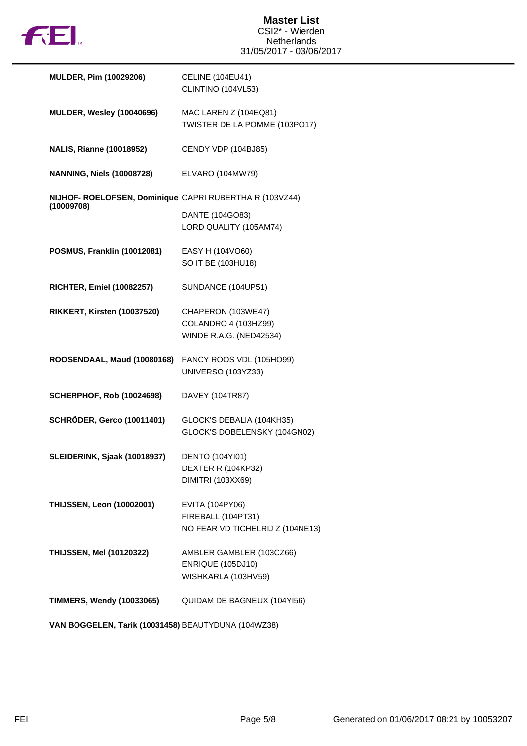

| <b>MULDER, Pim (10029206)</b>                                         | <b>CELINE (104EU41)</b><br>CLINTINO (104VL53)             |
|-----------------------------------------------------------------------|-----------------------------------------------------------|
| <b>MULDER, Wesley (10040696)</b>                                      | MAC LAREN Z (104EQ81)<br>TWISTER DE LA POMME (103PO17)    |
| <b>NALIS, Rianne (10018952)</b>                                       | CENDY VDP (104BJ85)                                       |
| <b>NANNING, Niels (10008728)</b>                                      | ELVARO (104MW79)                                          |
| NIJHOF- ROELOFSEN, Dominique CAPRI RUBERTHA R (103VZ44)<br>(10009708) |                                                           |
|                                                                       | DANTE (104GO83)<br>LORD QUALITY (105AM74)                 |
| POSMUS, Franklin (10012081)                                           | EASY H (104VO60)<br>SO IT BE (103HU18)                    |
| <b>RICHTER, Emiel (10082257)</b>                                      | SUNDANCE (104UP51)                                        |
| RIKKERT, Kirsten (10037520)                                           | CHAPERON (103WE47)                                        |
|                                                                       | COLANDRO 4 (103HZ99)<br>WINDE R.A.G. (NED42534)           |
|                                                                       |                                                           |
| ROOSENDAAL, Maud (10080168)                                           | FANCY ROOS VDL (105HO99)<br>UNIVERSO (103YZ33)            |
| <b>SCHERPHOF, Rob (10024698)</b>                                      | DAVEY (104TR87)                                           |
| <b>SCHRÖDER, Gerco (10011401)</b>                                     | GLOCK'S DEBALIA (104KH35)<br>GLOCK'S DOBELENSKY (104GN02) |
| SLEIDERINK, Sjaak (10018937)                                          | <b>DENTO (104YI01)</b>                                    |
|                                                                       | DEXTER R (104KP32)<br><b>DIMITRI (103XX69)</b>            |
| <b>THIJSSEN, Leon (10002001)</b>                                      | EVITA (104PY06)                                           |
|                                                                       | FIREBALL (104PT31)<br>NO FEAR VD TICHELRIJ Z (104NE13)    |
| <b>THIJSSEN, Mel (10120322)</b>                                       | AMBLER GAMBLER (103CZ66)                                  |
|                                                                       | <b>ENRIQUE (105DJ10)</b><br>WISHKARLA (103HV59)           |

**VAN BOGGELEN, Tarik (10031458)** BEAUTYDUNA (104WZ38)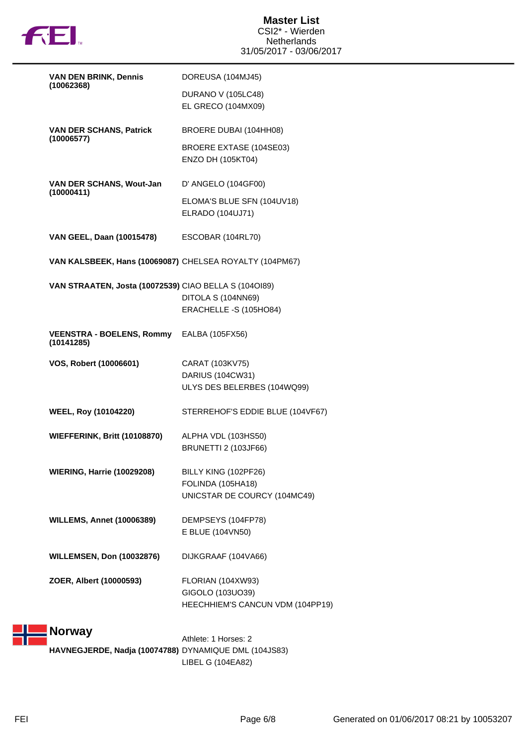

|                                                         | DOREUSA (104MJ45)                                                             |
|---------------------------------------------------------|-------------------------------------------------------------------------------|
| (10062368)                                              | DURANO V (105LC48)<br>EL GRECO (104MX09)                                      |
| <b>VAN DER SCHANS, Patrick</b>                          | BROERE DUBAI (104HH08)                                                        |
| (10006577)                                              | <b>BROERE EXTASE (104SE03)</b><br>ENZO DH (105KT04)                           |
| VAN DER SCHANS, Wout-Jan<br>(10000411)                  | D' ANGELO (104GF00)                                                           |
|                                                         | ELOMA'S BLUE SFN (104UV18)<br>ELRADO (104UJ71)                                |
| VAN GEEL, Daan (10015478) ESCOBAR (104RL70)             |                                                                               |
| VAN KALSBEEK, Hans (10069087) CHELSEA ROYALTY (104PM67) |                                                                               |
| VAN STRAATEN, Josta (10072539) CIAO BELLA S (1040189)   | DITOLA S (104NN69)<br>ERACHELLE -S (105HO84)                                  |
| VEENSTRA - BOELENS, Rommy EALBA (105FX56)<br>(10141285) |                                                                               |
| VOS, Robert (10006601)                                  | CARAT (103KV75)<br>DARIUS (104CW31)<br>ULYS DES BELERBES (104WQ99)            |
| <b>WEEL, Roy (10104220)</b>                             | STERREHOF'S EDDIE BLUE (104VF67)                                              |
| <b>WIEFFERINK, Britt (10108870)</b>                     | ALPHA VDL (103HS50)<br><b>BRUNETTI 2 (103JF66)</b>                            |
| <b>WIERING, Harrie (10029208)</b>                       | BILLY KING (102PF26)<br>FOLINDA (105HA18)<br>UNICSTAR DE COURCY (104MC49)     |
| <b>WILLEMS, Annet (10006389)</b>                        | DEMPSEYS (104FP78)<br>E BLUE (104VN50)                                        |
| <b>WILLEMSEN, Don (10032876)</b>                        | DIJKGRAAF (104VA66)                                                           |
| ZOER, Albert (10000593)                                 | FLORIAN (104XW93)<br>GIGOLO (103UO39)<br>HEECHHIEM'S CANCUN VDM (104PP19)     |
| <b>Norway</b>                                           | Athlete: 1 Horses: 2<br>HAVNEGJERDE, Nadja (10074788) DYNAMIQUE DML (104JS83) |

LIBEL G (104EA82)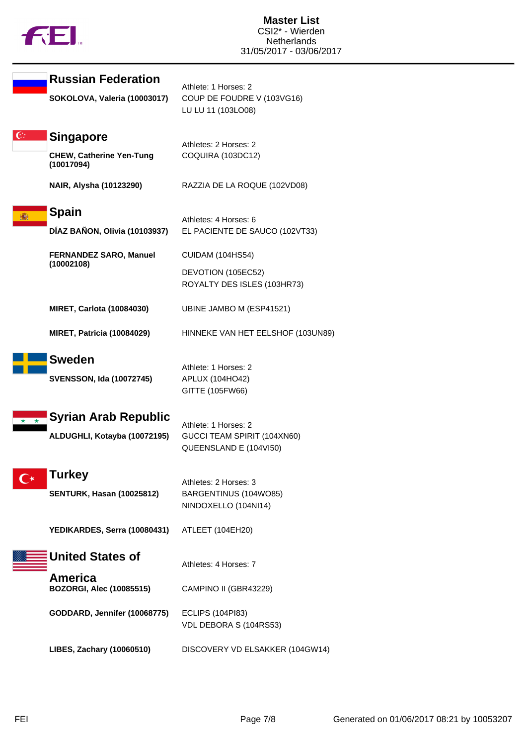

|              | <b>Russian Federation</b>                     | Athlete: 1 Horses: 2                                |
|--------------|-----------------------------------------------|-----------------------------------------------------|
|              | SOKOLOVA, Valeria (10003017)                  | COUP DE FOUDRE V (103VG16)<br>LU LU 11 (103LO08)    |
| $\mathbf{C}$ | <b>Singapore</b>                              | Athletes: 2 Horses: 2                               |
|              | <b>CHEW, Catherine Yen-Tung</b><br>(10017094) | COQUIRA (103DC12)                                   |
|              | NAIR, Alysha (10123290)                       | RAZZIA DE LA ROQUE (102VD08)                        |
|              | <b>Spain</b>                                  | Athletes: 4 Horses: 6                               |
|              | DÍAZ BAÑON, Olivia (10103937)                 | EL PACIENTE DE SAUCO (102VT33)                      |
|              | <b>FERNANDEZ SARO, Manuel</b>                 | <b>CUIDAM (104HS54)</b>                             |
|              | (10002108)                                    | DEVOTION (105EC52)<br>ROYALTY DES ISLES (103HR73)   |
|              | <b>MIRET, Carlota (10084030)</b>              | UBINE JAMBO M (ESP41521)                            |
|              | <b>MIRET, Patricia (10084029)</b>             | HINNEKE VAN HET EELSHOF (103UN89)                   |
|              | <b>Sweden</b>                                 | Athlete: 1 Horses: 2                                |
|              | <b>SVENSSON, Ida (10072745)</b>               | APLUX (104HO42)<br>GITTE (105FW66)                  |
|              | <b>Syrian Arab Republic</b>                   |                                                     |
|              | ALDUGHLI, Kotayba (10072195)                  | Athlete: 1 Horses: 2<br>GUCCI TEAM SPIRIT (104XN60) |
|              |                                               | QUEENSLAND E (104VI50)                              |
|              | <b>Turkey</b>                                 | Athletes: 2 Horses: 3                               |
|              | <b>SENTURK, Hasan (10025812)</b>              | BARGENTINUS (104WO85)<br>NINDOXELLO (104NI14)       |
|              | YEDIKARDES, Serra (10080431)                  | ATLEET (104EH20)                                    |
|              | <b>United States of</b>                       | Athletes: 4 Horses: 7                               |
|              | America<br><b>BOZORGI, Alec (10085515)</b>    | CAMPINO II (GBR43229)                               |
|              | GODDARD, Jennifer (10068775)                  | <b>ECLIPS (104PI83)</b><br>VDL DEBORA S (104RS53)   |
|              | LIBES, Zachary (10060510)                     | DISCOVERY VD ELSAKKER (104GW14)                     |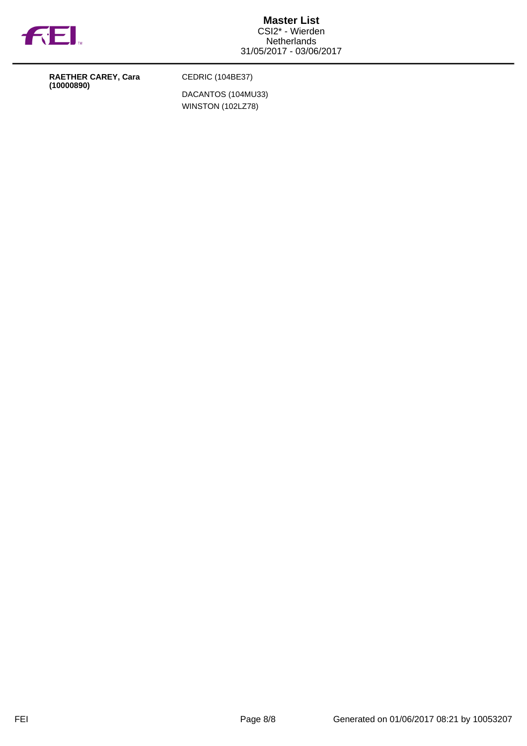

**RAETHER CAREY, Cara (10000890)**

CEDRIC (104BE37)

DACANTOS (104MU33) WINSTON (102LZ78)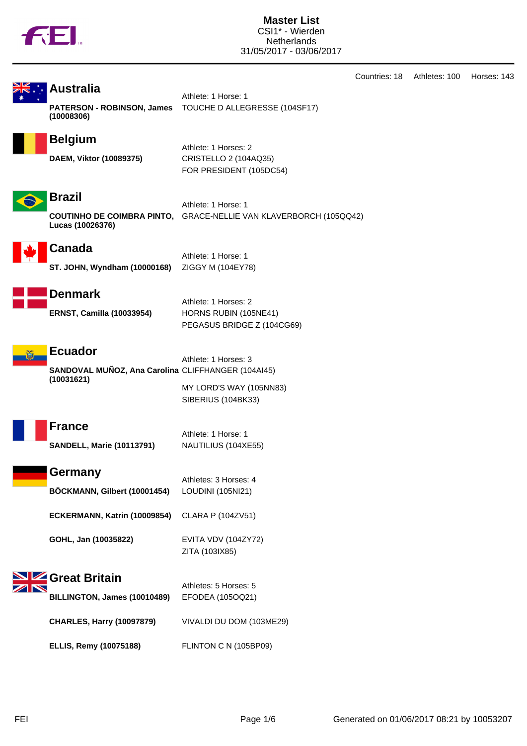

**Master List** CSI1\* - Wierden **Netherlands** 31/05/2017 - 03/06/2017

Countries: 18 Athletes: 100 Horses: 143

| NZ. |         |
|-----|---------|
| ⋝⋚⋰ | l Aust⊧ |
|     |         |

#### ralia

**PATERSON - ROBINSON, James (10008306)**

Athlete: 1 Horse: 1 TOUCHE D ALLEGRESSE (104SF17)



### **Belgium** Athlete: 1 Horses: 2

**DAEM, Viktor (10089375)** CRISTELLO 2 (104AQ35)

FOR PRESIDENT (105DC54)



**Brazil**

Athlete: 1 Horse: 1 **COUTINHO DE COIMBRA PINTO,** GRACE-NELLIE VAN KLAVERBORCH (105QQ42) **Lucas (10026376)**



# **Canada**

Athlete: 1 Horse: 1 **ST. JOHN, Wyndham (10000168)** ZIGGY M (104EY78)



# **Denmark**

Athlete: 1 Horses: 2 **ERNST, Camilla (10033954)** HORNS RUBIN (105NE41) PEGASUS BRIDGE Z (104CG69)



#### **Ecuador**

Athlete: 1 Horses: 3 **SANDOVAL MUÑOZ, Ana Carolina** CLIFFHANGER (104AI45) **(10031621)** MY LORD'S WAY (105NN83)

SIBERIUS (104BK33)

ZITA (103IX85)



Athlete: 1 Horse: 1 **SANDELL, Marie (10113791)** NAUTILIUS (104XE55)





**ECKERMANN, Katrin (10009854)** CLARA P (104ZV51)

**GOHL, Jan (10035822)** EVITA VDV (104ZY72)



| 91 YU DI KU JI<br>BILLINGTON, James (10010489) | Athletes: 5 Horses: 5<br>EFODEA (105OQ21) |
|------------------------------------------------|-------------------------------------------|
| <b>CHARLES, Harry (10097879)</b>               | VIVALDI DU DOM (103ME29)                  |
| <b>ELLIS, Remy (10075188)</b>                  | FLINTON C N (105BP09)                     |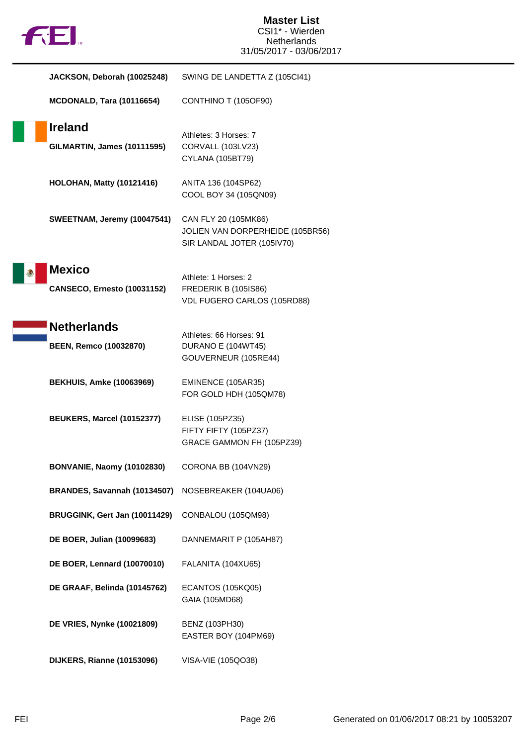| <b>FEI.</b>                                         | <b>Master List</b><br>CSI1* - Wierden<br><b>Netherlands</b><br>31/05/2017 - 03/06/2017 |
|-----------------------------------------------------|----------------------------------------------------------------------------------------|
| JACKSON, Deborah (10025248)                         | SWING DE LANDETTA Z (105Cl41)                                                          |
| <b>MCDONALD, Tara (10116654)</b>                    | CONTHINO T (105OF90)                                                                   |
| <b>Ireland</b><br>GILMARTIN, James (10111595)       | Athletes: 3 Horses: 7<br>CORVALL (103LV23)<br>CYLANA (105BT79)                         |
| <b>HOLOHAN, Matty (10121416)</b>                    | ANITA 136 (104SP62)<br>COOL BOY 34 (105QN09)                                           |
| SWEETNAM, Jeremy (10047541)                         | CAN FLY 20 (105MK86)<br>JOLIEN VAN DORPERHEIDE (105BR56)<br>SIR LANDAL JOTER (105IV70) |
| <b>Mexico</b><br><b>CANSECO, Ernesto (10031152)</b> | Athlete: 1 Horses: 2<br><b>FREDERIK B (105IS86)</b><br>VDL FUGERO CARLOS (105RD88)     |
| <b>Netherlands</b><br><b>BEEN, Remco (10032870)</b> | Athletes: 66 Horses: 91<br>DURANO E (104WT45)<br>GOUVERNEUR (105RE44)                  |
| <b>BEKHUIS, Amke (10063969)</b>                     | EMINENCE (105AR35)<br>FOR GOLD HDH (105QM78)                                           |
| BEUKERS, Marcel (10152377)                          | ELISE (105PZ35)<br>FIFTY FIFTY (105PZ37)<br>GRACE GAMMON FH (105PZ39)                  |
| <b>BONVANIE, Naomy (10102830)</b>                   | CORONA BB (104VN29)                                                                    |
| BRANDES, Savannah (10134507)                        | NOSEBREAKER (104UA06)                                                                  |
| BRUGGINK, Gert Jan (10011429)                       | CONBALOU (105QM98)                                                                     |
| DE BOER, Julian (10099683)                          | DANNEMARIT P (105AH87)                                                                 |
| <b>DE BOER, Lennard (10070010)</b>                  | FALANITA (104XU65)                                                                     |
| DE GRAAF, Belinda (10145762)                        | <b>ECANTOS (105KQ05)</b><br>GAIA (105MD68)                                             |
| <b>DE VRIES, Nynke (10021809)</b>                   | BENZ (103PH30)<br>EASTER BOY (104PM69)                                                 |
| DIJKERS, Rianne (10153096)                          | VISA-VIE (105QO38)                                                                     |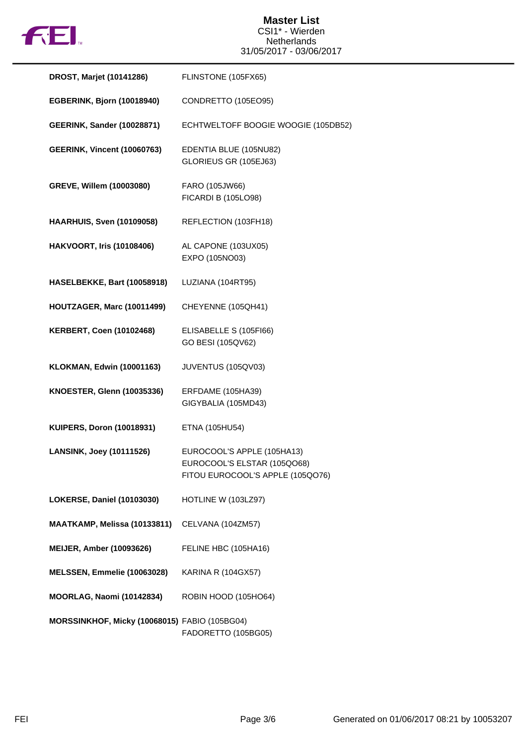

| DROST, Marjet (10141286)                      | FLINSTONE (105FX65)                                                                           |
|-----------------------------------------------|-----------------------------------------------------------------------------------------------|
| EGBERINK, Bjorn (10018940)                    | CONDRETTO (105EO95)                                                                           |
| <b>GEERINK, Sander (10028871)</b>             | ECHTWELTOFF BOOGIE WOOGIE (105DB52)                                                           |
| <b>GEERINK, Vincent (10060763)</b>            | EDENTIA BLUE (105NU82)<br>GLORIEUS GR (105EJ63)                                               |
| GREVE, Willem (10003080)                      | FARO (105JW66)<br><b>FICARDI B (105LO98)</b>                                                  |
| <b>HAARHUIS, Sven (10109058)</b>              | REFLECTION (103FH18)                                                                          |
| <b>HAKVOORT, Iris (10108406)</b>              | AL CAPONE (103UX05)<br>EXPO (105NO03)                                                         |
| HASELBEKKE, Bart (10058918)                   | LUZIANA (104RT95)                                                                             |
| HOUTZAGER, Marc (10011499)                    | CHEYENNE (105QH41)                                                                            |
| <b>KERBERT, Coen (10102468)</b>               | ELISABELLE S (105FI66)<br>GO BESI (105QV62)                                                   |
| <b>KLOKMAN, Edwin (10001163)</b>              | JUVENTUS (105QV03)                                                                            |
| <b>KNOESTER, Glenn (10035336)</b>             | ERFDAME (105HA39)<br>GIGYBALIA (105MD43)                                                      |
| <b>KUIPERS, Doron (10018931)</b>              | ETNA (105HU54)                                                                                |
| <b>LANSINK, Joey (10111526)</b>               | EUROCOOL'S APPLE (105HA13)<br>EUROCOOL'S ELSTAR (105QO68)<br>FITOU EUROCOOL'S APPLE (105QO76) |
| LOKERSE, Daniel (10103030)                    | HOTLINE W (103LZ97)                                                                           |
| MAATKAMP, Melissa (10133811)                  | CELVANA (104ZM57)                                                                             |
| <b>MEIJER, Amber (10093626)</b>               | FELINE HBC (105HA16)                                                                          |
| MELSSEN, Emmelie (10063028)                   | <b>KARINA R (104GX57)</b>                                                                     |
| MOORLAG, Naomi (10142834)                     | ROBIN HOOD (105HO64)                                                                          |
| MORSSINKHOF, Micky (10068015) FABIO (105BG04) | FADORETTO (105BG05)                                                                           |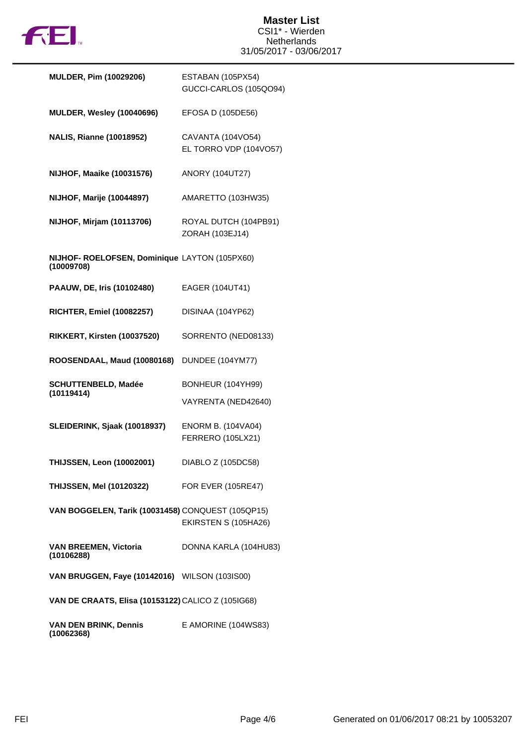

| <b>MULDER, Pim (10029206)</b>                               | ESTABAN (105PX54)<br>GUCCI-CARLOS (105QO94)    |
|-------------------------------------------------------------|------------------------------------------------|
| <b>MULDER, Wesley (10040696)</b>                            | EFOSA D (105DE56)                              |
| <b>NALIS, Rianne (10018952)</b>                             | CAVANTA (104VO54)<br>EL TORRO VDP (104VO57)    |
| <b>NIJHOF, Maaike (10031576)</b>                            | <b>ANORY (104UT27)</b>                         |
| <b>NIJHOF, Marije (10044897)</b>                            | AMARETTO (103HW35)                             |
| NIJHOF, Mirjam (10113706)                                   | ROYAL DUTCH (104PB91)<br>ZORAH (103EJ14)       |
| NIJHOF- ROELOFSEN, Dominique LAYTON (105PX60)<br>(10009708) |                                                |
| PAAUW, DE, Iris (10102480)                                  | EAGER (104UT41)                                |
| <b>RICHTER, Emiel (10082257)</b>                            | DISINAA (104YP62)                              |
| RIKKERT, Kirsten (10037520)                                 | SORRENTO (NED08133)                            |
| ROOSENDAAL, Maud (10080168)                                 | DUNDEE (104YM77)                               |
| <b>SCHUTTENBELD, Madée</b><br>(10119414)                    | BONHEUR (104YH99)                              |
|                                                             | VAYRENTA (NED42640)                            |
| SLEIDERINK, Sjaak (10018937)                                | <b>ENORM B. (104VA04)</b><br>FERRERO (105LX21) |
| <b>THIJSSEN, Leon (10002001)</b>                            | DIABLO Z (105DC58)                             |
| THIJSSEN, MeI (10120322) FOR EVER (105RE47)                 |                                                |
| VAN BOGGELEN, Tarik (10031458) CONQUEST (105QP15)           | EKIRSTEN S (105HA26)                           |
| <b>VAN BREEMEN, Victoria</b><br>(10106288)                  | DONNA KARLA (104HU83)                          |
| VAN BRUGGEN, Faye (10142016) WILSON (103IS00)               |                                                |
| VAN DE CRAATS, Elisa (10153122) CALICO Z (105IG68)          |                                                |
| <b>VAN DEN BRINK, Dennis</b><br>(10062368)                  | E AMORINE (104WS83)                            |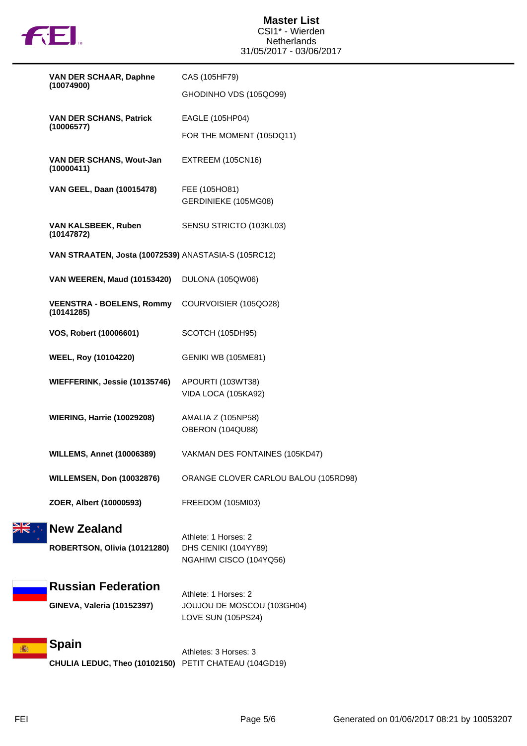

| (10074900)<br>(10006577) | VAN DER SCHAAR, Daphne                                                | CAS (105HF79)                                                            |
|--------------------------|-----------------------------------------------------------------------|--------------------------------------------------------------------------|
|                          |                                                                       | GHODINHO VDS (105QO99)                                                   |
|                          | <b>VAN DER SCHANS, Patrick</b>                                        | EAGLE (105HP04)                                                          |
|                          |                                                                       | FOR THE MOMENT (105DQ11)                                                 |
|                          | VAN DER SCHANS, Wout-Jan<br>(10000411)                                | EXTREEM (105CN16)                                                        |
|                          | VAN GEEL, Daan (10015478)                                             | FEE (105HO81)<br>GERDINIEKE (105MG08)                                    |
|                          | VAN KALSBEEK, Ruben<br>(10147872)                                     | SENSU STRICTO (103KL03)                                                  |
|                          | VAN STRAATEN, Josta (10072539) ANASTASIA-S (105RC12)                  |                                                                          |
|                          | VAN WEEREN, Maud (10153420) DULONA (105QW06)                          |                                                                          |
|                          | <b>VEENSTRA - BOELENS, Rommy</b><br>(10141285)                        | COURVOISIER (105QO28)                                                    |
|                          | VOS, Robert (10006601)                                                | SCOTCH (105DH95)                                                         |
|                          | <b>WEEL, Roy (10104220)</b>                                           | GENIKI WB (105ME81)                                                      |
|                          | WIEFFERINK, Jessie (10135746)                                         | APOURTI (103WT38)<br>VIDA LOCA (105KA92)                                 |
|                          | <b>WIERING, Harrie (10029208)</b>                                     | AMALIA Z (105NP58)<br>OBERON (104QU88)                                   |
|                          | <b>WILLEMS, Annet (10006389)</b>                                      | VAKMAN DES FONTAINES (105KD47)                                           |
|                          | <b>WILLEMSEN, Don (10032876)</b>                                      | ORANGE CLOVER CARLOU BALOU (105RD98)                                     |
|                          | ZOER, Albert (10000593)                                               | FREEDOM (105MI03)                                                        |
|                          | <b>New Zealand</b><br>ROBERTSON, Olivia (10121280)                    | Athlete: 1 Horses: 2<br>DHS CENIKI (104YY89)<br>NGAHIWI CISCO (104YQ56)  |
|                          | <b>Russian Federation</b><br>GINEVA, Valeria (10152397)               | Athlete: 1 Horses: 2<br>JOUJOU DE MOSCOU (103GH04)<br>LOVE SUN (105PS24) |
|                          | <b>Spain</b><br>CHULIA LEDUC, Theo (10102150) PETIT CHATEAU (104GD19) | Athletes: 3 Horses: 3                                                    |